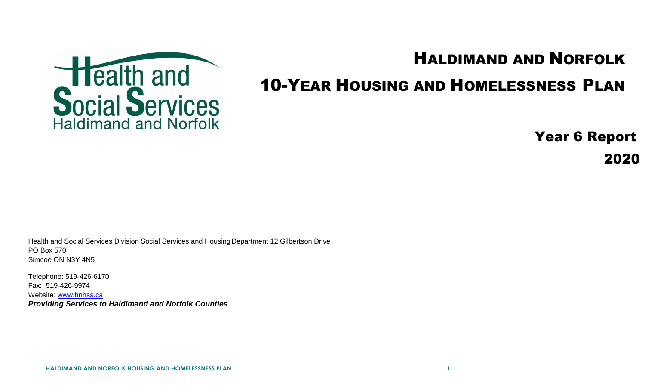

## HALDIMAND AND NORFOLK

## 10-YEAR HOUSING AND HOMELESSNESS PLAN

Year 6 Report

2020

Health and Social Services Division Social Services and Housing Department 12 Gilbertson Drive PO Box 570 Simcoe ON N3Y 4N5

Telephone: 519-426-6170 Fax: 519-426-9974 Website: [www.hnhss.c](http://www.hnhss./)a *Providing Services to Haldimand and Norfolk Counties*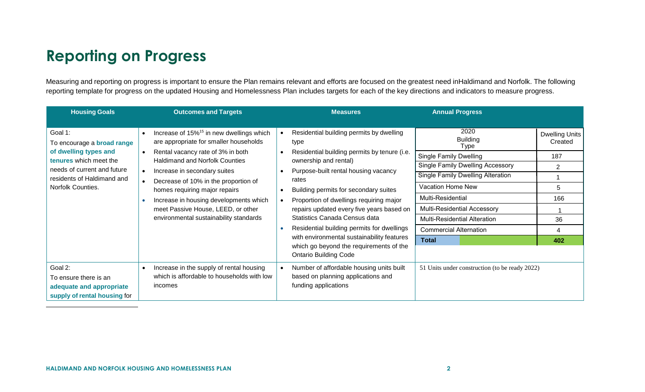## **Reporting on Progress**

<span id="page-1-0"></span>Measuring and reporting on progress is important to ensure the Plan remains relevant and efforts are focused on the greatest need inHaldimand and Norfolk. The following reporting template for progress on the updated Housing and Homelessness Plan includes targets for each of the key directions and indicators to measure progress.

| <b>Housing Goals</b>                                                                                                                                                              | <b>Outcomes and Targets</b>                                                                                                                                                                                                                                                                                                                                                                                                  | <b>Measures</b>                                                                                                                                                                                                                                                                                                                                                                                                                                                                                                                               | <b>Annual Progress</b>                                                                                                                                                                                                                                                                                                                 |                                                                                         |
|-----------------------------------------------------------------------------------------------------------------------------------------------------------------------------------|------------------------------------------------------------------------------------------------------------------------------------------------------------------------------------------------------------------------------------------------------------------------------------------------------------------------------------------------------------------------------------------------------------------------------|-----------------------------------------------------------------------------------------------------------------------------------------------------------------------------------------------------------------------------------------------------------------------------------------------------------------------------------------------------------------------------------------------------------------------------------------------------------------------------------------------------------------------------------------------|----------------------------------------------------------------------------------------------------------------------------------------------------------------------------------------------------------------------------------------------------------------------------------------------------------------------------------------|-----------------------------------------------------------------------------------------|
| Goal 1:<br>To encourage a <b>broad range</b><br>of dwelling types and<br>tenures which meet the<br>needs of current and future<br>residents of Haldimand and<br>Norfolk Counties. | Increase of 15% <sup>15</sup> in new dwellings which<br>$\bullet$<br>are appropriate for smaller households<br>Rental vacancy rate of 3% in both<br><b>Haldimand and Norfolk Counties</b><br>Increase in secondary suites<br>Decrease of 10% in the proportion of<br>homes requiring major repairs<br>Increase in housing developments which<br>meet Passive House, LEED, or other<br>environmental sustainability standards | Residential building permits by dwelling<br>$\bullet$<br>type<br>Residential building permits by tenure (i.e.<br>ownership and rental)<br>Purpose-built rental housing vacancy<br>rates<br>Building permits for secondary suites<br>$\bullet$<br>Proportion of dwellings requiring major<br>repairs updated every five years based on<br>Statistics Canada Census data<br>Residential building permits for dwellings<br>with environmental sustainability features<br>which go beyond the requirements of the<br><b>Ontario Building Code</b> | 2020<br><b>Building</b><br>Type<br><b>Single Family Dwelling</b><br><b>Single Family Dwelling Accessory</b><br><b>Single Family Dwelling Alteration</b><br>Vacation Home New<br><b>Multi-Residential</b><br><b>Multi-Residential Accessory</b><br><b>Multi-Residential Alteration</b><br><b>Commercial Alternation</b><br><b>Total</b> | <b>Dwelling Units</b><br>Created<br>187<br>$\overline{2}$<br>5<br>166<br>36<br>4<br>402 |
| Goal 2:<br>To ensure there is an<br>adequate and appropriate<br>supply of rental housing for                                                                                      | Increase in the supply of rental housing<br>$\bullet$<br>which is affordable to households with low<br>incomes                                                                                                                                                                                                                                                                                                               | Number of affordable housing units built<br>based on planning applications and<br>funding applications                                                                                                                                                                                                                                                                                                                                                                                                                                        | 51 Units under construction (to be ready 2022)                                                                                                                                                                                                                                                                                         |                                                                                         |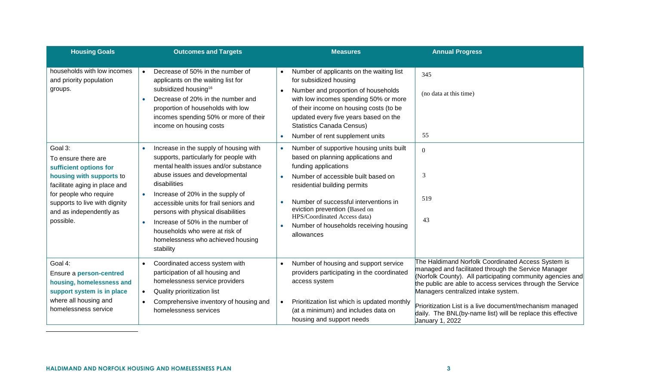<span id="page-2-0"></span>

| <b>Housing Goals</b>                                                                                                                                                                                                                                                                          | <b>Outcomes and Targets</b>                                                                                                                                                                                                                                                                                                                                                                                                                                                                                                                                                                                                                                                                      | <b>Measures</b>                                                                                                                                                                                                                                                                                                                                                                                                                                                                                                                                                                                                                                                  | <b>Annual Progress</b>                                                                                                                                                                                                                                                                                                                                                                                                     |
|-----------------------------------------------------------------------------------------------------------------------------------------------------------------------------------------------------------------------------------------------------------------------------------------------|--------------------------------------------------------------------------------------------------------------------------------------------------------------------------------------------------------------------------------------------------------------------------------------------------------------------------------------------------------------------------------------------------------------------------------------------------------------------------------------------------------------------------------------------------------------------------------------------------------------------------------------------------------------------------------------------------|------------------------------------------------------------------------------------------------------------------------------------------------------------------------------------------------------------------------------------------------------------------------------------------------------------------------------------------------------------------------------------------------------------------------------------------------------------------------------------------------------------------------------------------------------------------------------------------------------------------------------------------------------------------|----------------------------------------------------------------------------------------------------------------------------------------------------------------------------------------------------------------------------------------------------------------------------------------------------------------------------------------------------------------------------------------------------------------------------|
| households with low incomes<br>and priority population<br>groups.<br>Goal 3:<br>To ensure there are<br>sufficient options for<br>housing with supports to<br>facilitate aging in place and<br>for people who require<br>supports to live with dignity<br>and as independently as<br>possible. | Decrease of 50% in the number of<br>applicants on the waiting list for<br>subsidized housing <sup>16</sup><br>Decrease of 20% in the number and<br>$\bullet$<br>proportion of households with low<br>incomes spending 50% or more of their<br>income on housing costs<br>Increase in the supply of housing with<br>supports, particularly for people with<br>mental health issues and/or substance<br>abuse issues and developmental<br>disabilities<br>Increase of 20% in the supply of<br>accessible units for frail seniors and<br>persons with physical disabilities<br>Increase of 50% in the number of<br>households who were at risk of<br>homelessness who achieved housing<br>stability | Number of applicants on the waiting list<br>for subsidized housing<br>Number and proportion of households<br>with low incomes spending 50% or more<br>of their income on housing costs (to be<br>updated every five years based on the<br><b>Statistics Canada Census)</b><br>Number of rent supplement units<br>Number of supportive housing units built<br>based on planning applications and<br>funding applications<br>Number of accessible built based on<br>residential building permits<br>Number of successful interventions in<br>eviction prevention (Based on<br>HPS/Coordinated Access data)<br>Number of households receiving housing<br>allowances | 345<br>(no data at this time)<br>55<br>$\mathbf{0}$<br>3<br>519<br>43                                                                                                                                                                                                                                                                                                                                                      |
| Goal 4:<br>Ensure a person-centred<br>housing, homelessness and<br>support system is in place<br>where all housing and<br>homelessness service                                                                                                                                                | Coordinated access system with<br>participation of all housing and<br>homelessness service providers<br>Quality prioritization list<br>$\bullet$<br>Comprehensive inventory of housing and<br>$\bullet$<br>homelessness services                                                                                                                                                                                                                                                                                                                                                                                                                                                                 | Number of housing and support service<br>providers participating in the coordinated<br>access system<br>Prioritization list which is updated monthly<br>(at a minimum) and includes data on<br>housing and support needs                                                                                                                                                                                                                                                                                                                                                                                                                                         | The Haldimand Norfolk Coordinated Access System is<br>managed and facilitated through the Service Manager<br>(Norfolk County). All participating community agencies and<br>the public are able to access services through the Service<br>Managers centralized intake system.<br>Prioritization List is a live document/mechanism managed<br>daily. The BNL(by-name list) will be replace this effective<br>January 1, 2022 |